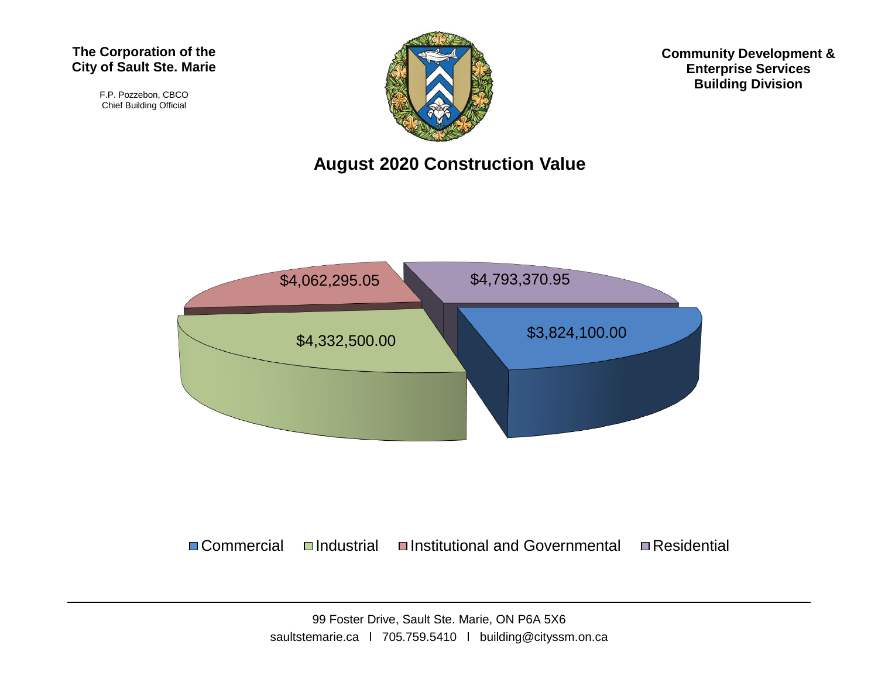#### **The Corporation of the City of Sault Ste. Marie**

F.P. Pozzebon, CBCO Chief Building Official



**Community Development & Enterprise Services Building Division**

### **August 2020 Construction Value**



 $\Box$  Commercial  $\Box$ Industrial  $\Box$ Institutional and Governmental  $\Box$ Residential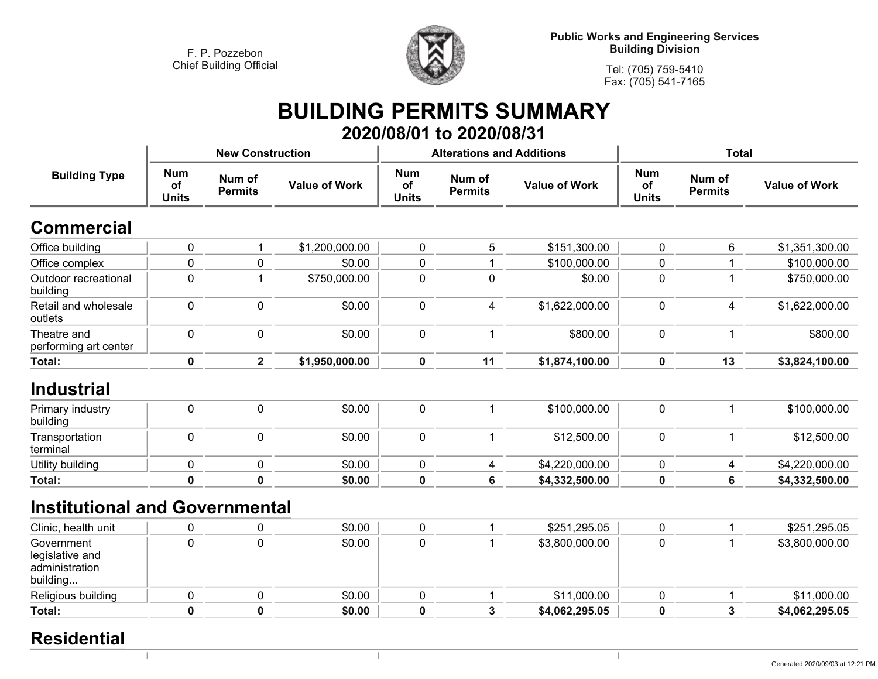

**Public Works and Engineering Services Building Division**

**Tel: (705) 759-5410Fax: (705) 541-7165**

 $\mathbb{R}$ 

# **BUILDING PERMITS SUMMARY 2020/08/01 to 2020/08/31**

|                                                             |                                  | <b>New Construction</b>  |                      |                                  | <b>Alterations and Additions</b> |                      | <b>Total</b>                     |                          |                      |
|-------------------------------------------------------------|----------------------------------|--------------------------|----------------------|----------------------------------|----------------------------------|----------------------|----------------------------------|--------------------------|----------------------|
| <b>Building Type</b>                                        | <b>Num</b><br>of<br><b>Units</b> | Num of<br><b>Permits</b> | <b>Value of Work</b> | <b>Num</b><br>of<br><b>Units</b> | Num of<br><b>Permits</b>         | <b>Value of Work</b> | <b>Num</b><br>of<br><b>Units</b> | Num of<br><b>Permits</b> | <b>Value of Work</b> |
| <b>Commercial</b>                                           |                                  |                          |                      |                                  |                                  |                      |                                  |                          |                      |
| Office building                                             | $\pmb{0}$                        | 1                        | \$1,200,000.00       | $\mathbf 0$                      | 5                                | \$151,300.00         | $\mathbf 0$                      | 6                        | \$1,351,300.00       |
| Office complex                                              | $\pmb{0}$                        | $\mathbf 0$              | \$0.00               | $\pmb{0}$                        | 1                                | \$100,000.00         | $\mathbf 0$                      | $\mathbf 1$              | \$100,000.00         |
| Outdoor recreational<br>building                            | $\mathbf 0$                      | 1                        | \$750,000.00         | $\mathbf 0$                      | $\mathbf 0$                      | \$0.00               | 0                                | $\mathbf 1$              | \$750,000.00         |
| Retail and wholesale<br>outlets                             | $\mathbf 0$                      | $\mathbf 0$              | \$0.00               | $\mathbf 0$                      | 4                                | \$1,622,000.00       | 0                                | 4                        | \$1,622,000.00       |
| Theatre and<br>performing art center                        | $\mathbf 0$                      | 0                        | \$0.00               | $\mathbf 0$                      | 1                                | \$800.00             | $\mathbf 0$                      | 1                        | \$800.00             |
| Total:                                                      | $\mathbf 0$                      | $\overline{2}$           | \$1,950,000.00       | $\pmb{0}$                        | 11                               | \$1,874,100.00       | 0                                | 13                       | \$3,824,100.00       |
| <b>Industrial</b>                                           |                                  |                          |                      |                                  |                                  |                      |                                  |                          |                      |
| Primary industry<br>building                                | $\mathbf 0$                      | $\mathbf 0$              | \$0.00               | $\mathbf 0$                      | 1                                | \$100,000.00         | $\pmb{0}$                        | $\mathbf 1$              | \$100,000.00         |
| Transportation<br>terminal                                  | $\pmb{0}$                        | $\mathbf 0$              | \$0.00               | $\mathbf 0$                      | 1                                | \$12,500.00          | $\pmb{0}$                        | 1                        | \$12,500.00          |
| Utility building                                            | $\pmb{0}$                        | $\mathbf 0$              | \$0.00               | $\mathbf 0$                      | 4                                | \$4,220,000.00       | 0                                | 4                        | \$4,220,000.00       |
| Total:                                                      | $\mathbf 0$                      | $\mathbf 0$              | \$0.00               | $\mathbf 0$                      | 6                                | \$4,332,500.00       | 0                                | 6                        | \$4,332,500.00       |
| <b>Institutional and Governmental</b>                       |                                  |                          |                      |                                  |                                  |                      |                                  |                          |                      |
| Clinic, health unit                                         | 0                                | 0                        | \$0.00               | $\pmb{0}$                        | 1                                | \$251,295.05         | $\pmb{0}$                        | 1                        | \$251,295.05         |
| Government<br>legislative and<br>administration<br>building | $\Omega$                         | $\mathbf 0$              | \$0.00               | $\mathbf 0$                      | 1                                | \$3,800,000.00       | $\mathbf 0$                      | $\mathbf 1$              | \$3,800,000.00       |
| Religious building                                          | $\pmb{0}$                        | $\mathbf 0$              | \$0.00               | $\pmb{0}$                        | 1                                | \$11,000.00          | $\mathbf 0$                      | 1                        | \$11,000.00          |
| <b>Total:</b>                                               | $\mathbf 0$                      | $\mathbf 0$              | \$0.00               | $\mathbf 0$                      | 3                                | \$4,062,295.05       | $\mathbf 0$                      | 3                        | \$4,062,295.05       |
|                                                             |                                  |                          |                      |                                  |                                  |                      |                                  |                          |                      |

 $\mathbb{I}$ 

### **Residential**

 $\overline{\phantom{a}}$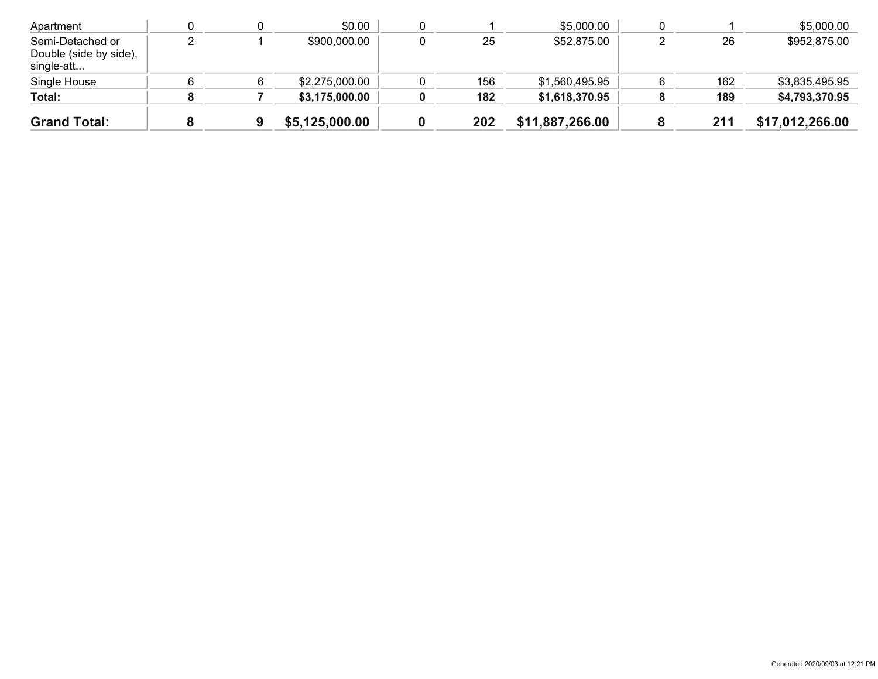| Apartment                                                |  | \$0.00         |     | \$5,000.00      |     | \$5,000.00      |
|----------------------------------------------------------|--|----------------|-----|-----------------|-----|-----------------|
| Semi-Detached or<br>Double (side by side),<br>single-att |  | \$900,000.00   | 25  | \$52,875.00     | 26  | \$952,875.00    |
| Single House                                             |  | \$2,275,000.00 | 156 | \$1,560,495.95  | 162 | \$3,835,495.95  |
| Total:                                                   |  | \$3,175,000.00 | 182 | \$1,618,370.95  | 189 | \$4,793,370.95  |
| <b>Grand Total:</b>                                      |  | \$5,125,000.00 | 202 | \$11,887,266.00 | 211 | \$17,012,266.00 |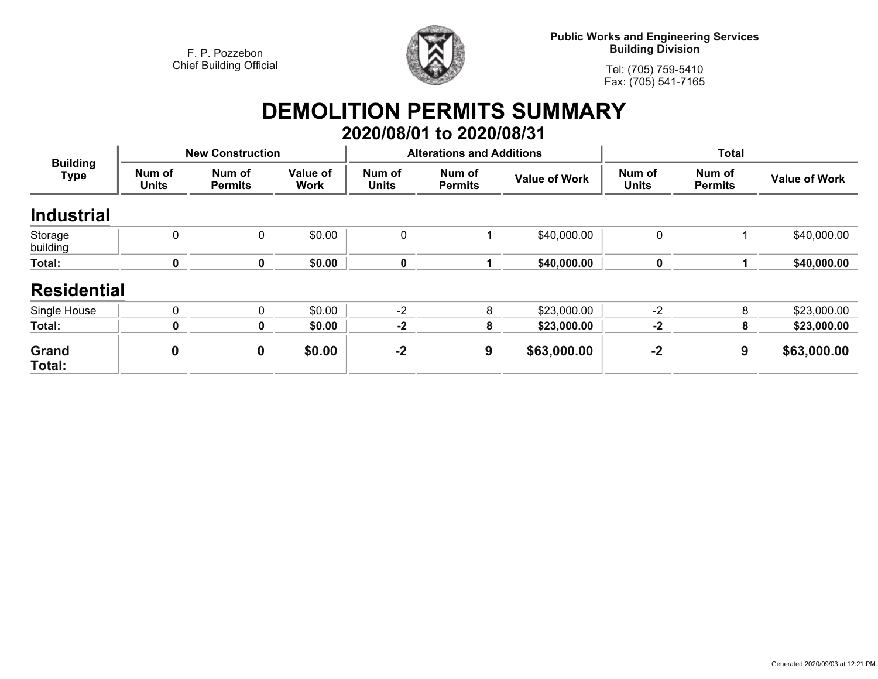

**Public Works and Engineering Services Building Division**

**Tel: (705) 759-5410Fax: (705) 541-7165**

# **DEMOLITION PERMITS SUMMARY 2020/08/01 to 2020/08/31**

| <b>Building</b><br><b>Type</b> |                        | <b>New Construction</b>  |                         |                        | <b>Alterations and Additions</b> |                      | <b>Total</b>           |                          |                      |
|--------------------------------|------------------------|--------------------------|-------------------------|------------------------|----------------------------------|----------------------|------------------------|--------------------------|----------------------|
|                                | Num of<br><b>Units</b> | Num of<br><b>Permits</b> | Value of<br><b>Work</b> | Num of<br><b>Units</b> | Num of<br><b>Permits</b>         | <b>Value of Work</b> | Num of<br><b>Units</b> | Num of<br><b>Permits</b> | <b>Value of Work</b> |
| <b>Industrial</b>              |                        |                          |                         |                        |                                  |                      |                        |                          |                      |
| Storage<br>building            | 0                      | 0                        | \$0.00                  | 0                      |                                  | \$40,000.00          | 0                      |                          | \$40,000.00          |
| Total:                         | 0                      | 0                        | \$0.00                  | 0                      |                                  | \$40,000.00          | 0                      |                          | \$40,000.00          |
| <b>Residential</b>             |                        |                          |                         |                        |                                  |                      |                        |                          |                      |
| Single House                   | $\Omega$               | 0                        | \$0.00                  | $-2$                   | 8                                | \$23,000.00          | $-2$                   | 8                        | \$23,000.00          |
| Total:                         | 0                      | 0                        | \$0.00                  | $-2$                   | 8                                | \$23,000.00          | $-2$                   | 8                        | \$23,000.00          |
| Grand<br>Total:                | $\boldsymbol{0}$       | $\mathbf 0$              | \$0.00                  | $-2$                   | 9                                | \$63,000.00          | $-2$                   | 9                        | \$63,000.00          |